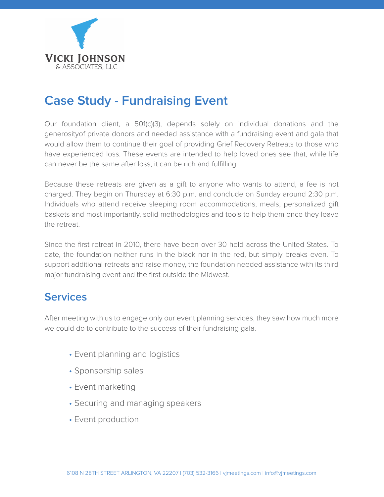

# **Case Study - Fundraising Event**

Our foundation client, a 501(c)(3), depends solely on individual donations and the generosityof private donors and needed assistance with a fundraising event and gala that would allow them to continue their goal of providing Grief Recovery Retreats to those who have experienced loss. These events are intended to help loved ones see that, while life can never be the same after loss, it can be rich and fulfilling.

Because these retreats are given as a gift to anyone who wants to attend, a fee is not charged. They begin on Thursday at 6:30 p.m. and conclude on Sunday around 2:30 p.m. Individuals who attend receive sleeping room accommodations, meals, personalized gift baskets and most importantly, solid methodologies and tools to help them once they leave the retreat.

Since the first retreat in 2010, there have been over 30 held across the United States. To date, the foundation neither runs in the black nor in the red, but simply breaks even. To support additional retreats and raise money, the foundation needed assistance with its third major fundraising event and the first outside the Midwest.

## **Services**

After meeting with us to engage only our event planning services, they saw how much more we could do to contribute to the success of their fundraising gala.

- Event planning and logistics
- Sponsorship sales
- Event marketing
- Securing and managing speakers
- Event production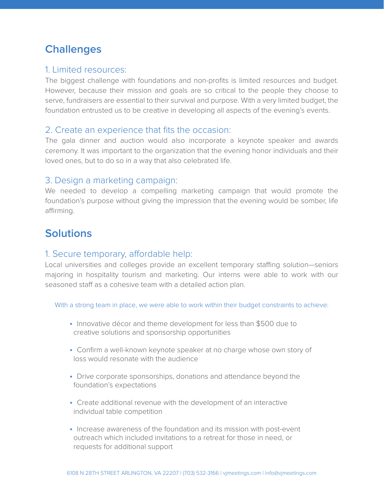# **Challenges**

#### 1. Limited resources:

The biggest challenge with foundations and non-profits is limited resources and budget. However, because their mission and goals are so critical to the people they choose to serve, fundraisers are essential to their survival and purpose. With a very limited budget, the foundation entrusted us to be creative in developing all aspects of the evening's events.

#### 2. Create an experience that fits the occasion:

The gala dinner and auction would also incorporate a keynote speaker and awards ceremony. It was important to the organization that the evening honor individuals and their loved ones, but to do so in a way that also celebrated life.

#### 3. Design a marketing campaign:

We needed to develop a compelling marketing campaign that would promote the foundation's purpose without giving the impression that the evening would be somber, life affirming.

# **Solutions**

#### 1. Secure temporary, affordable help:

Local universities and colleges provide an excellent temporary staffing solution-seniors majoring in hospitality tourism and marketing. Our interns were able to work with our seasoned staff as a cohesive team with a detailed action plan.

With a strong team in place, we were able to work within their budget constraints to achieve:

- Innovative décor and theme development for less than \$500 due to creative solutions and sponsorship opportunities
- Confirm a well-known keynote speaker at no charge whose own story of loss would resonate with the audience
- Drive corporate sponsorships, donations and attendance beyond the foundation's expectations
- Create additional revenue with the development of an interactive individual table competition
- Increase awareness of the foundation and its mission with post-event outreach which included invitations to a retreat for those in need, or requests for additional support